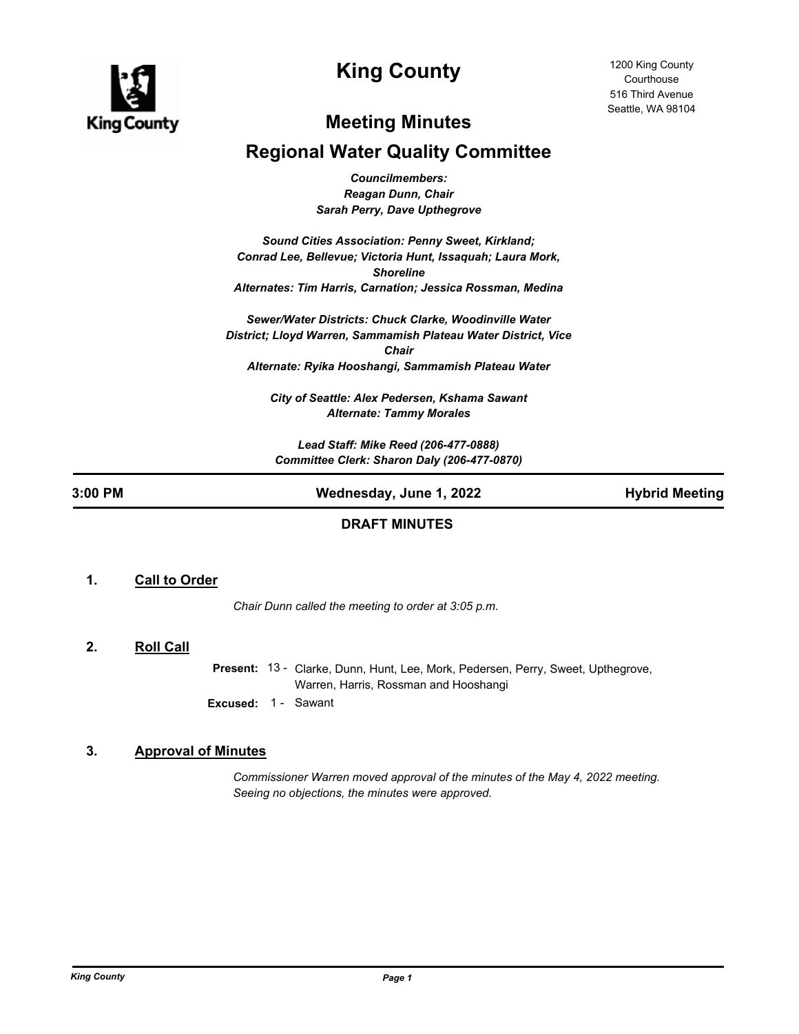

# **King County**

## **Meeting Minutes**

## **Regional Water Quality Committee**

*Councilmembers: Reagan Dunn, Chair Sarah Perry, Dave Upthegrove*

*Sound Cities Association: Penny Sweet, Kirkland; Conrad Lee, Bellevue; Victoria Hunt, Issaquah; Laura Mork, Shoreline Alternates: Tim Harris, Carnation; Jessica Rossman, Medina*

*Sewer/Water Districts: Chuck Clarke, Woodinville Water District; Lloyd Warren, Sammamish Plateau Water District, Vice Chair Alternate: Ryika Hooshangi, Sammamish Plateau Water*

> *City of Seattle: Alex Pedersen, Kshama Sawant Alternate: Tammy Morales*

*Lead Staff: Mike Reed (206-477-0888) Committee Clerk: Sharon Daly (206-477-0870)*

## **3:00 PM Wednesday, June 1, 2022 Hybrid Meeting**

## **DRAFT MINUTES**

## **1. Call to Order**

*Chair Dunn called the meeting to order at 3:05 p.m.*

## **2. Roll Call**

Present: 13 - Clarke, Dunn, Hunt, Lee, Mork, Pedersen, Perry, Sweet, Upthegrove, Warren, Harris, Rossman and Hooshangi **Excused:** 1 - Sawant

## **3. Approval of Minutes**

*Commissioner Warren moved approval of the minutes of the May 4, 2022 meeting. Seeing no objections, the minutes were approved.*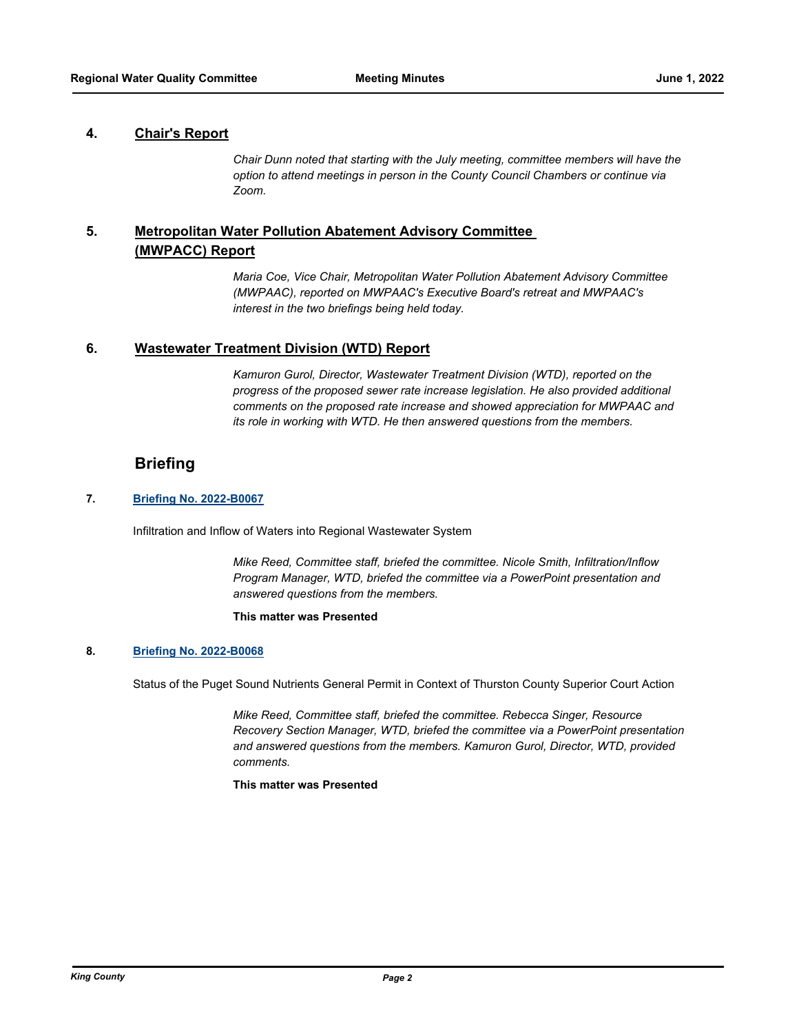## **4. Chair's Report**

*Chair Dunn noted that starting with the July meeting, committee members will have the option to attend meetings in person in the County Council Chambers or continue via Zoom.*

#### **Metropolitan Water Pollution Abatement Advisory Committee (MWPACC) Report 5.**

*Maria Coe, Vice Chair, Metropolitan Water Pollution Abatement Advisory Committee (MWPAAC), reported on MWPAAC's Executive Board's retreat and MWPAAC's interest in the two briefings being held today.*

## **6. Wastewater Treatment Division (WTD) Report**

*Kamuron Gurol, Director, Wastewater Treatment Division (WTD), reported on the progress of the proposed sewer rate increase legislation. He also provided additional comments on the proposed rate increase and showed appreciation for MWPAAC and its role in working with WTD. He then answered questions from the members.*

## **Briefing**

## **7. [Briefing No. 2022-B0067](http://kingcounty.legistar.com/gateway.aspx?m=l&id=/matter.aspx?key=23120)**

Infiltration and Inflow of Waters into Regional Wastewater System

*Mike Reed, Committee staff, briefed the committee. Nicole Smith, Infiltration/Inflow Program Manager, WTD, briefed the committee via a PowerPoint presentation and answered questions from the members.*

### **This matter was Presented**

### **8. [Briefing No. 2022-B0068](http://kingcounty.legistar.com/gateway.aspx?m=l&id=/matter.aspx?key=23121)**

Status of the Puget Sound Nutrients General Permit in Context of Thurston County Superior Court Action

*Mike Reed, Committee staff, briefed the committee. Rebecca Singer, Resource Recovery Section Manager, WTD, briefed the committee via a PowerPoint presentation and answered questions from the members. Kamuron Gurol, Director, WTD, provided comments.*

### **This matter was Presented**